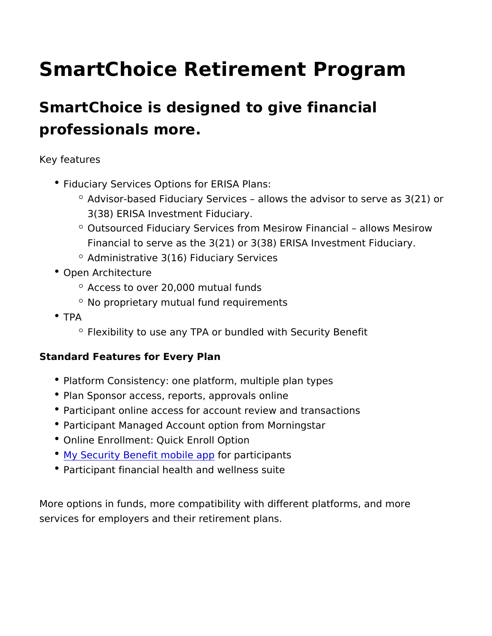## SmartChoice Retirement Program

SmartChoice is designed to give financial professionals more.

Key features

- Fiduciary Services Options for ERISA Plans:
	- $\degree$  Advisor-based Fiduciary Services allows the advisor to s 3(38) ERISA Investment Fiduciary.
	- $\circ$  Outsourced Fiduciary Services from Mesirow Financial al Financial to serve as the  $3(21)$  or  $3(38)$  ERISA Investment
	- Administrative 3(16) Fiduciary Services
- Open Architecture
	- $^{\circ}$  Access to over 20,000 mutual funds
	- No proprietary mutual fund requirements
- TPA

Flexibility to use any TPA or bundled with Security Benefit

Standard Features for Every Plan

- Platform Consistency: one platform, multiple plan types
- Plan Sponsor access, reports, approvals online
- Participant online access for account review and transactions
- Participant Managed Account option from Morningstar
- Online Enrollment: Quick Enroll Option
- $^{\bullet}$  [My Security Benefit m](https://www.sbcorpstg.securitybenefit.com/My-Security-Benefit-App-Resources)ofoitepaptpicipants
- Participant financial health and wellness suite

More options in funds, more compatibility with different platforms services for employers and their retirement plans.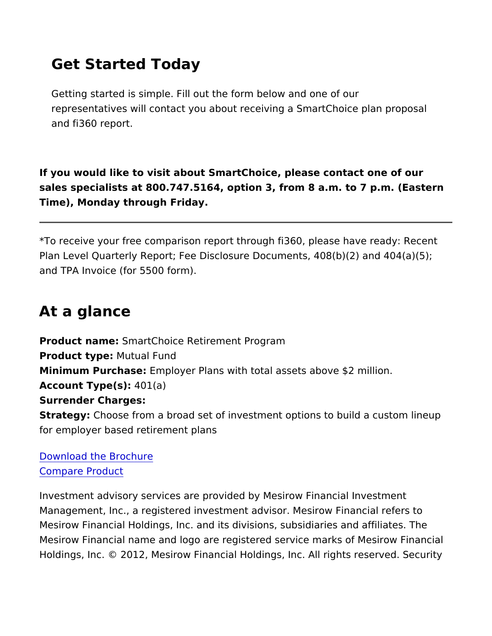## Get Started Today

Getting started is simple. Fill out the form below and one of our representatives will contact you about receiving a SmartChoice and fi360 report.

If you would like to visit about SmartChoice, please contact one of sales specialists at  $800.747.5164$ , option 3, from  $8$  a.m. to  $7$  p.m. Time), Monday through Friday.

\*To receive your free comparison report through fi360, please hav Plan Level Quarterly Report; Fee Disclosure Documents, 408(b)(2) and TPA Invoice (for 5500 form).

## At a glance

Product nam&martChoice Retirement Program Product typeMutual Fund Minimum PurchasEemployer Plans with total assets above \$2 million Account  $Type(4)$  $1(a)$ Surrender Charges: StrategyChoose from a broad set of investment options to build a for employer based retirement plans

## [Download the Br](https://www.veritas-solutions.net/SecurityBenefit/api/materials/download.aspx?stocknumber=SB1000024)ochure Compare Product

Investment advisory services are provided by Mesirow Financial I Management, Inc., a registered investment advisor. Mesirow Final Mesirow Financial Holdings, Inc. and its divisions, subsidiaries a Mesirow Financial name and logo are registered service marks of Holdings, Inc. © 2012, Mesirow Financial Holdings, Inc. All rights